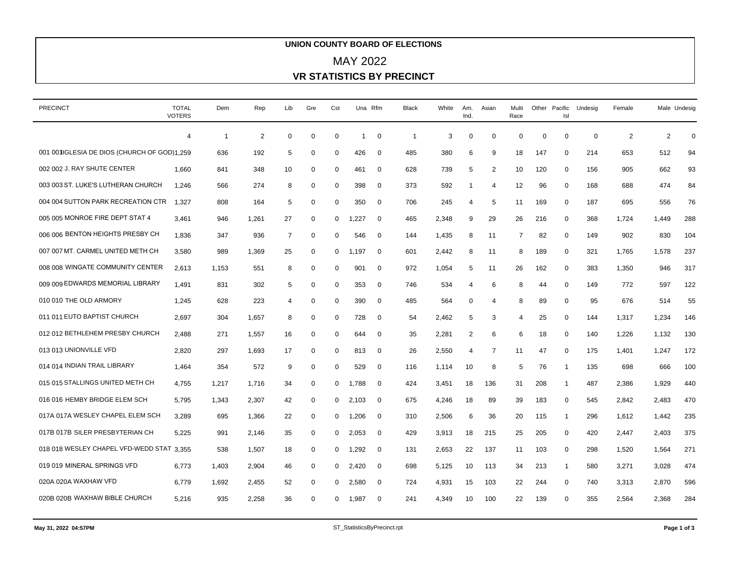## **UNION COUNTY BOARD OF ELECTIONS VR STATISTICS BY PRECINCT** MAY 2022

| <b>PRECINCT</b>                              | <b>TOTAL</b>   | Dem            | Rep   | Lib            | Gre         | Cst          |                | Una Rfm     | Black          | White | Am.            | Asian          | Multi    |          | Other Pacific  | Undesig     | Female         | Male Undesig   |     |
|----------------------------------------------|----------------|----------------|-------|----------------|-------------|--------------|----------------|-------------|----------------|-------|----------------|----------------|----------|----------|----------------|-------------|----------------|----------------|-----|
|                                              | <b>VOTERS</b>  |                |       |                |             |              |                |             |                |       | Ind.           |                | Race     |          | Isl            |             |                |                |     |
|                                              | $\overline{4}$ | $\overline{1}$ | 2     | $\mathbf 0$    | 0           | $\mathbf 0$  | $\overline{1}$ | 0           | $\overline{1}$ | 3     | $\mathbf 0$    | $\mathbf 0$    | $\Omega$ | $\Omega$ | 0              | $\mathbf 0$ | $\overline{2}$ | $\overline{2}$ | 0   |
| 001 001 IGLESIA DE DIOS (CHURCH OF GOD)1.259 |                | 636            | 192   | 5              | 0           | 0            | 426            | $\mathbf 0$ | 485            | 380   | 6              | 9              | 18       | 147      | 0              | 214         | 653            | 512            | 94  |
| 002 002 J. RAY SHUTE CENTER                  | 1,660          | 841            | 348   | 10             | 0           | $\mathbf 0$  | 461            | 0           | 628            | 739   | 5              | 2              | 10       | 120      | 0              | 156         | 905            | 662            | 93  |
| 003 003 ST. LUKE'S LUTHERAN CHURCH           | 1.246          | 566            | 274   | 8              | 0           | 0            | 398            | 0           | 373            | 592   | -1             | 4              | 12       | 96       | 0              | 168         | 688            | 474            | 84  |
| 004 004 SUTTON PARK RECREATION CTR           | 1.327          | 808            | 164   | 5              | $\mathbf 0$ | $\mathbf{0}$ | 350            | $\mathbf 0$ | 706            | 245   | 4              | 5              | 11       | 169      | $\mathbf{0}$   | 187         | 695            | 556            | 76  |
| 005 005 MONROE FIRE DEPT STAT 4              | 3.461          | 946            | 1,261 | 27             | $\mathbf 0$ | $\mathbf{0}$ | 1.227          | $\mathbf 0$ | 465            | 2,348 | 9              | 29             | 26       | 216      | $\mathbf 0$    | 368         | 1.724          | 1.449          | 288 |
| 006 006 BENTON HEIGHTS PRESBY CH             | 1,836          | 347            | 936   | 7              | 0           | 0            | 546            | 0           | 144            | 1,435 | 8              | 11             | 7        | 82       | 0              | 149         | 902            | 830            | 104 |
| 007 007 MT. CARMEL UNITED METH CH            | 3,580          | 989            | 1,369 | 25             | 0           | 0            | 1,197          | 0           | 601            | 2,442 | 8              | 11             | 8        | 189      | 0              | 321         | 1,765          | 1,578          | 237 |
| 008 008 WINGATE COMMUNITY CENTER             | 2,613          | 1,153          | 551   | 8              | 0           | 0            | 901            | 0           | 972            | 1,054 | 5              | 11             | 26       | 162      | 0              | 383         | 1,350          | 946            | 317 |
| 009 009 EDWARDS MEMORIAL LIBRARY             | 1,491          | 831            | 302   | 5              | $\mathbf 0$ | $\Omega$     | 353            | 0           | 746            | 534   | $\overline{4}$ | 6              | 8        | 44       | 0              | 149         | 772            | 597            | 122 |
| 010 010 THE OLD ARMORY                       | 1,245          | 628            | 223   | $\overline{4}$ | 0           | $\Omega$     | 390            | 0           | 485            | 564   | $\mathbf 0$    | 4              | 8        | 89       | 0              | 95          | 676            | 514            | 55  |
| 011 011 EUTO BAPTIST CHURCH                  | 2,697          | 304            | 1,657 | 8              | $\mathbf 0$ | $\mathbf 0$  | 728            | $\mathbf 0$ | 54             | 2,462 | 5              | 3              | 4        | 25       | 0              | 144         | 1,317          | 1,234          | 146 |
| 012 012 BETHLEHEM PRESBY CHURCH              | 2,488          | 271            | 1,557 | 16             | 0           | 0            | 644            | $\mathbf 0$ | 35             | 2,281 | $\overline{2}$ | 6              | 6        | 18       | 0              | 140         | 1,226          | 1,132          | 130 |
| 013 013 UNIONVILLE VFD                       | 2,820          | 297            | 1,693 | 17             | $\mathbf 0$ | $\mathbf 0$  | 813            | $\mathbf 0$ | 26             | 2,550 | $\overline{4}$ | $\overline{7}$ | 11       | 47       | $\mathbf 0$    | 175         | 1,401          | 1,247          | 172 |
| 014 014 INDIAN TRAIL LIBRARY                 | 1,464          | 354            | 572   | 9              | 0           | 0            | 529            | 0           | 116            | 1,114 | 10             | 8              | 5        | 76       | -1             | 135         | 698            | 666            | 100 |
| 015 015 STALLINGS UNITED METH CH             | 4,755          | 1,217          | 1,716 | 34             | 0           | 0            | 1,788          | 0           | 424            | 3,451 | 18             | 136            | 31       | 208      | $\mathbf{1}$   | 487         | 2,386          | 1,929          | 440 |
| 016 016 HEMBY BRIDGE ELEM SCH                | 5,795          | 1,343          | 2,307 | 42             | 0           | $\mathbf{0}$ | 2,103          | 0           | 675            | 4,246 | 18             | 89             | 39       | 183      | 0              | 545         | 2,842          | 2,483          | 470 |
| 017A 017A WESLEY CHAPEL ELEM SCH             | 3,289          | 695            | 1,366 | 22             | $\mathbf 0$ | $\mathbf{0}$ | 1,206          | 0           | 310            | 2,506 | 6              | 36             | 20       | 115      | $\overline{1}$ | 296         | 1,612          | 1,442          | 235 |
| 017B 017B SILER PRESBYTERIAN CH              | 5,225          | 991            | 2,146 | 35             | 0           | $\mathbf{0}$ | 2,053          | 0           | 429            | 3,913 | 18             | 215            | 25       | 205      | 0              | 420         | 2,447          | 2,403          | 375 |
| 018 018 WESLEY CHAPEL VFD-WEDD STAT 3,355    |                | 538            | 1,507 | 18             | 0           | $\mathbf{0}$ | 1,292          | 0           | 131            | 2,653 | 22             | 137            | 11       | 103      | 0              | 298         | 1,520          | 1,564          | 271 |
| 019 019 MINERAL SPRINGS VFD                  | 6,773          | 1,403          | 2,904 | 46             | 0           | $\mathbf{0}$ | 2,420          | 0           | 698            | 5,125 | 10             | 113            | 34       | 213      | -1             | 580         | 3,271          | 3,028          | 474 |
| 020A 020A WAXHAW VFD                         | 6,779          | 1,692          | 2,455 | 52             | $\mathbf 0$ | $\mathbf{0}$ | 2,580          | $\mathbf 0$ | 724            | 4,931 | 15             | 103            | 22       | 244      | 0              | 740         | 3,313          | 2,870          | 596 |
| 020B 020B WAXHAW BIBLE CHURCH                | 5,216          | 935            | 2,258 | 36             | $\mathbf 0$ | 0            | 1,987          | $\Omega$    | 241            | 4,349 | 10             | 100            | 22       | 139      | $\Omega$       | 355         | 2,564          | 2,368          | 284 |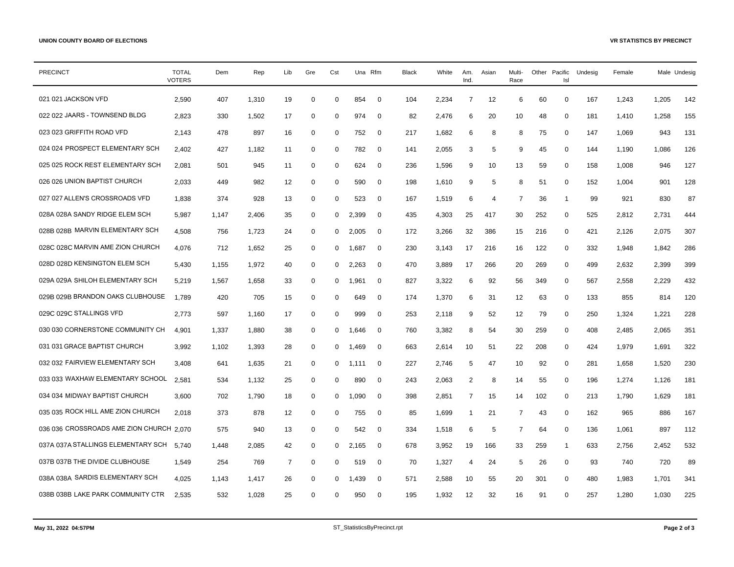| <b>PRECINCT</b>                          | <b>TOTAL</b><br><b>VOTERS</b> | Dem   | Rep   | Lib            | Gre         | Cst          | Una Rfm |                | <b>Black</b> | White | Am.<br>Ind.    | Asian          | Multi-<br>Race |     | Other Pacific<br>Isl | Undesig | Female | Male Undesig |     |
|------------------------------------------|-------------------------------|-------|-------|----------------|-------------|--------------|---------|----------------|--------------|-------|----------------|----------------|----------------|-----|----------------------|---------|--------|--------------|-----|
| 021 021 JACKSON VFD                      | 2,590                         | 407   | 1,310 | 19             | $\mathbf 0$ | $\mathbf 0$  | 854     | 0              | 104          | 2,234 | $\overline{7}$ | 12             | 6              | 60  | $\mathbf 0$          | 167     | 1,243  | 1,205        | 142 |
| 022 022 JAARS - TOWNSEND BLDG            | 2,823                         | 330   | 1,502 | 17             | 0           | $\Omega$     | 974     | $\mathbf 0$    | 82           | 2,476 | 6              | 20             | 10             | 48  | 0                    | 181     | 1,410  | 1,258        | 155 |
| 023 023 GRIFFITH ROAD VFD                | 2,143                         | 478   | 897   | 16             | $\mathbf 0$ | 0            | 752     | $\overline{0}$ | 217          | 1,682 | 6              | 8              | 8              | 75  | 0                    | 147     | 1,069  | 943          | 131 |
| 024 024 PROSPECT ELEMENTARY SCH          | 2,402                         | 427   | 1,182 | 11             | $\mathbf 0$ | $\mathbf 0$  | 782     | $\mathbf 0$    | 141          | 2,055 | 3              | 5              | 9              | 45  | 0                    | 144     | 1,190  | 1,086        | 126 |
| 025 025 ROCK REST ELEMENTARY SCH         | 2,081                         | 501   | 945   | 11             | $\mathbf 0$ | 0            | 624     | $\mathbf 0$    | 236          | 1,596 | 9              | 10             | 13             | 59  | $\mathbf 0$          | 158     | 1,008  | 946          | 127 |
| 026 026 UNION BAPTIST CHURCH             | 2,033                         | 449   | 982   | 12             | $\mathbf 0$ | $\mathbf 0$  | 590     | $\mathbf 0$    | 198          | 1,610 | 9              | 5              | 8              | 51  | $\mathbf 0$          | 152     | 1,004  | 901          | 128 |
| 027 027 ALLEN'S CROSSROADS VFD           | 1,838                         | 374   | 928   | 13             | $\mathbf 0$ | 0            | 523     | $\mathbf 0$    | 167          | 1,519 | 6              | $\overline{4}$ | 7              | 36  | $\mathbf{1}$         | 99      | 921    | 830          | 87  |
| 028A 028A SANDY RIDGE ELEM SCH           | 5,987                         | 1,147 | 2,406 | 35             | 0           | 0            | 2,399   | $\mathbf 0$    | 435          | 4,303 | 25             | 417            | 30             | 252 | 0                    | 525     | 2,812  | 2,731        | 444 |
| 028B 028B MARVIN ELEMENTARY SCH          | 4,508                         | 756   | 1,723 | 24             | $\mathbf 0$ | $\mathbf 0$  | 2.005   | $\mathbf 0$    | 172          | 3,266 | 32             | 386            | 15             | 216 | $\mathbf 0$          | 421     | 2,126  | 2,075        | 307 |
| 028C 028C MARVIN AME ZION CHURCH         | 4,076                         | 712   | 1,652 | 25             | 0           | $\mathbf{0}$ | 1,687   | 0              | 230          | 3,143 | 17             | 216            | 16             | 122 | $\mathbf 0$          | 332     | 1,948  | 1,842        | 286 |
| 028D 028D KENSINGTON ELEM SCH            | 5,430                         | 1,155 | 1,972 | 40             | $\mathbf 0$ | $\mathbf{0}$ | 2,263   | $\overline{0}$ | 470          | 3,889 | 17             | 266            | 20             | 269 | $\mathbf 0$          | 499     | 2,632  | 2,399        | 399 |
| 029A 029A SHILOH ELEMENTARY SCH          | 5,219                         | 1,567 | 1,658 | 33             | 0           | 0            | 1,961   | $\mathbf 0$    | 827          | 3,322 | 6              | 92             | 56             | 349 | 0                    | 567     | 2,558  | 2,229        | 432 |
| 029B 029B BRANDON OAKS CLUBHOUSE         | 1.789                         | 420   | 705   | 15             | 0           | 0            | 649     | $\mathbf 0$    | 174          | 1,370 | 6              | 31             | 12             | 63  | $\mathbf 0$          | 133     | 855    | 814          | 120 |
| 029C 029C STALLINGS VFD                  | 2,773                         | 597   | 1,160 | 17             | 0           | $\mathbf 0$  | 999     | $\mathbf 0$    | 253          | 2,118 | 9              | 52             | 12             | 79  | $\mathbf 0$          | 250     | 1,324  | 1,221        | 228 |
| 030 030 CORNERSTONE COMMUNITY CH         | 4.901                         | 1,337 | 1,880 | 38             | 0           | $\mathbf{0}$ | 1,646   | $\mathbf 0$    | 760          | 3,382 | 8              | 54             | 30             | 259 | $\mathbf 0$          | 408     | 2,485  | 2,065        | 351 |
| 031 031 GRACE BAPTIST CHURCH             | 3,992                         | 1,102 | 1,393 | 28             | 0           | $\mathbf{0}$ | 1,469   | $\mathbf 0$    | 663          | 2,614 | 10             | 51             | 22             | 208 | $\mathbf 0$          | 424     | 1,979  | 1,691        | 322 |
| 032 032 FAIRVIEW ELEMENTARY SCH          | 3,408                         | 641   | 1,635 | 21             | 0           | $\mathbf 0$  | 1,111   | $\mathbf 0$    | 227          | 2,746 | 5              | 47             | 10             | 92  | 0                    | 281     | 1,658  | 1,520        | 230 |
| 033 033 WAXHAW ELEMENTARY SCHOOL         | 2.581                         | 534   | 1,132 | 25             | $\mathbf 0$ | $\mathbf 0$  | 890     | $\mathbf 0$    | 243          | 2,063 | 2              | 8              | 14             | 55  | $\mathbf 0$          | 196     | 1,274  | 1,126        | 181 |
| 034 034 MIDWAY BAPTIST CHURCH            | 3,600                         | 702   | 1,790 | 18             | 0           | 0            | 1.090   | $\mathbf 0$    | 398          | 2,851 | 7              | 15             | 14             | 102 | $\mathbf 0$          | 213     | 1,790  | 1,629        | 181 |
| 035 035 ROCK HILL AME ZION CHURCH        | 2,018                         | 373   | 878   | 12             | 0           | 0            | 755     | $\mathbf 0$    | 85           | 1,699 | $\mathbf{1}$   | 21             | 7              | 43  | $\mathbf 0$          | 162     | 965    | 886          | 167 |
| 036 036 CROSSROADS AME ZION CHURCH 2.070 |                               | 575   | 940   | 13             | 0           | 0            | 542     | $\mathbf 0$    | 334          | 1,518 | 6              | 5              | 7              | 64  | 0                    | 136     | 1,061  | 897          | 112 |
| 037A 037A STALLINGS ELEMENTARY SCH       | 5.740                         | 1,448 | 2,085 | 42             | $\mathbf 0$ | $\mathbf 0$  | 2,165   | $\overline{0}$ | 678          | 3,952 | 19             | 166            | 33             | 259 | $\mathbf{1}$         | 633     | 2,756  | 2,452        | 532 |
| 037B 037B THE DIVIDE CLUBHOUSE           | 1,549                         | 254   | 769   | $\overline{7}$ | $\mathbf 0$ | 0            | 519     | $\mathbf 0$    | 70           | 1,327 | 4              | 24             | 5              | 26  | $\mathbf 0$          | 93      | 740    | 720          | 89  |
| 038A 038A SARDIS ELEMENTARY SCH          | 4,025                         | 1,143 | 1,417 | 26             | $\mathbf 0$ | $\Omega$     | 1.439   | $\mathbf 0$    | 571          | 2,588 | 10             | 55             | 20             | 301 | $\mathbf 0$          | 480     | 1,983  | 1,701        | 341 |
| 038B 038B LAKE PARK COMMUNITY CTR        | 2,535                         | 532   | 1,028 | 25             | 0           | $\Omega$     | 950     | $\mathbf 0$    | 195          | 1,932 | 12             | 32             | 16             | 91  | 0                    | 257     | 1,280  | 1,030        | 225 |